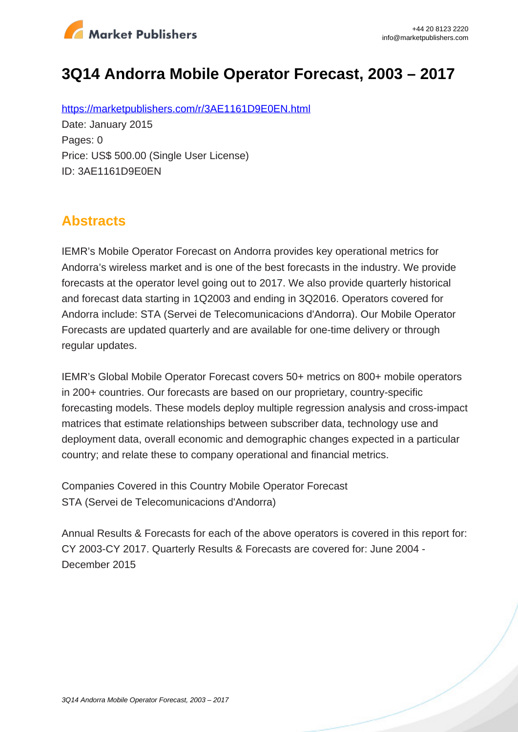

# **3Q14 Andorra Mobile Operator Forecast, 2003 – 2017**

https://marketpublishers.com/r/3AE1161D9E0EN.html Date: January 2015 Pages: 0 Price: US\$ 500.00 (Single User License) ID: 3AE1161D9E0EN

## **Abstracts**

IEMR's Mobile Operator Forecast on Andorra provides key operational metrics for Andorra's wireless market and is one of the best forecasts in the industry. We provide forecasts at the operator level going out to 2017. We also provide quarterly historical and forecast data starting in 1Q2003 and ending in 3Q2016. Operators covered for Andorra include: STA (Servei de Telecomunicacions d'Andorra). Our Mobile Operator Forecasts are updated quarterly and are available for one-time delivery or through regular updates.

IEMR's Global Mobile Operator Forecast covers 50+ metrics on 800+ mobile operators in 200+ countries. Our forecasts are based on our proprietary, country-specific forecasting models. These models deploy multiple regression analysis and cross-impact matrices that estimate relationships between subscriber data, technology use and deployment data, overall economic and demographic changes expected in a particular country; and relate these to company operational and financial metrics.

Companies Covered in this Country Mobile Operator Forecast STA (Servei de Telecomunicacions d'Andorra)

Annual Results & Forecasts for each of the above operators is covered in this report for: CY 2003-CY 2017. Quarterly Results & Forecasts are covered for: June 2004 - December 2015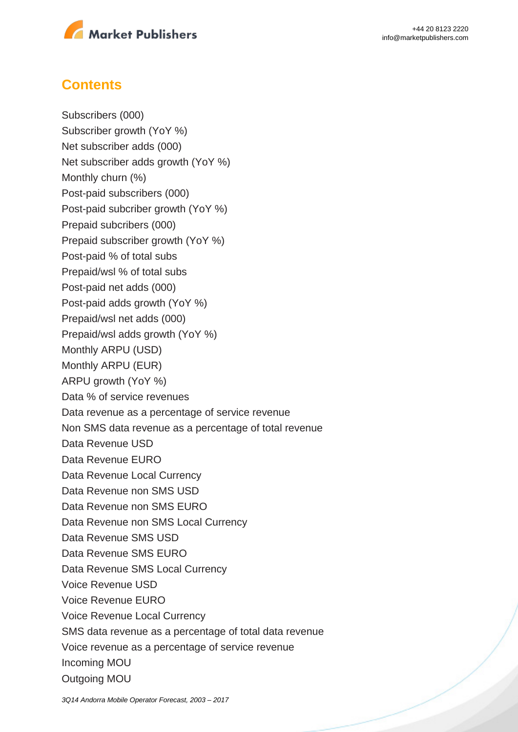

### **Contents**

Subscribers (000) Subscriber growth (YoY %) Net subscriber adds (000) Net subscriber adds growth (YoY %) Monthly churn (%) Post-paid subscribers (000) Post-paid subcriber growth (YoY %) Prepaid subcribers (000) Prepaid subscriber growth (YoY %) Post-paid % of total subs Prepaid/wsl % of total subs Post-paid net adds (000) Post-paid adds growth (YoY %) Prepaid/wsl net adds (000) Prepaid/wsl adds growth (YoY %) Monthly ARPU (USD) Monthly ARPU (EUR) ARPU growth (YoY %) Data % of service revenues Data revenue as a percentage of service revenue Non SMS data revenue as a percentage of total revenue Data Revenue USD Data Revenue EURO Data Revenue Local Currency Data Revenue non SMS USD Data Revenue non SMS EURO Data Revenue non SMS Local Currency Data Revenue SMS USD Data Revenue SMS EURO Data Revenue SMS Local Currency Voice Revenue USD Voice Revenue EURO Voice Revenue Local Currency SMS data revenue as a percentage of total data revenue Voice revenue as a percentage of service revenue Incoming MOU Outgoing MOU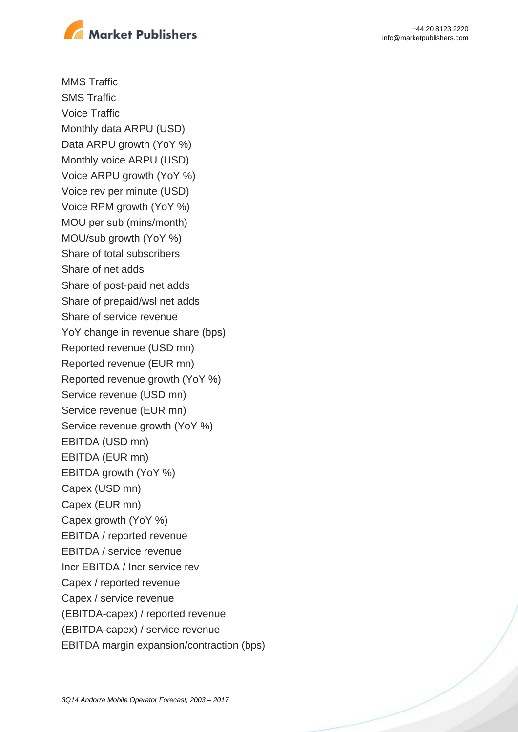

+44 20 8123 2220 info@marketpublishers.com

MMS Traffic SMS Traffic Voice Traffic Monthly data ARPU (USD) Data ARPU growth (YoY %) Monthly voice ARPU (USD) Voice ARPU growth (YoY %) Voice rev per minute (USD) Voice RPM growth (YoY %) MOU per sub (mins/month) MOU/sub growth (YoY %) Share of total subscribers Share of net adds Share of post-paid net adds Share of prepaid/wsl net adds Share of service revenue YoY change in revenue share (bps) Reported revenue (USD mn) Reported revenue (EUR mn) Reported revenue growth (YoY %) Service revenue (USD mn) Service revenue (EUR mn) Service revenue growth (YoY %) EBITDA (USD mn) EBITDA (EUR mn) EBITDA growth (YoY %) Capex (USD mn) Capex (EUR mn) Capex growth (YoY %) EBITDA / reported revenue EBITDA / service revenue Incr EBITDA / Incr service rev Capex / reported revenue Capex / service revenue (EBITDA-capex) / reported revenue (EBITDA-capex) / service revenue EBITDA margin expansion/contraction (bps)